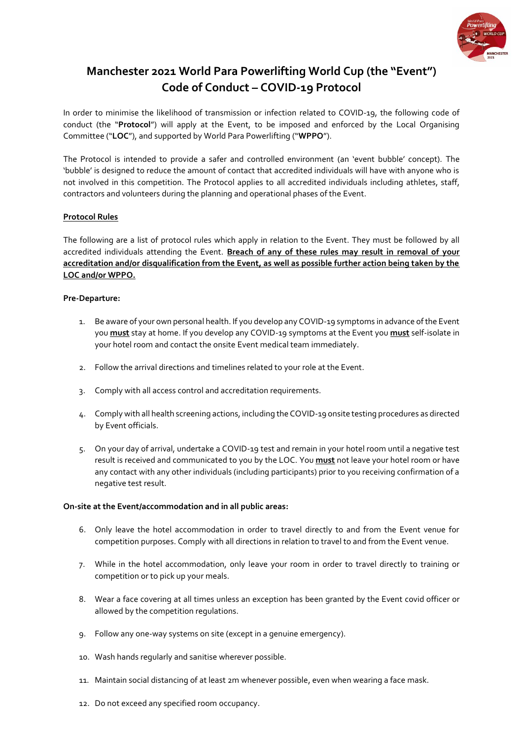

# **Manchester 2021 World Para Powerlifting World Cup (the "Event") Code of Conduct – COVID-19 Protocol**

In order to minimise the likelihood of transmission or infection related to COVID-19, the following code of conduct (the "**Protocol**") will apply at the Event, to be imposed and enforced by the Local Organising Committee ("**LOC**"), and supported by World Para Powerlifting ("**WPPO**").

The Protocol is intended to provide a safer and controlled environment (an 'event bubble' concept). The 'bubble' is designed to reduce the amount of contact that accredited individuals will have with anyone who is not involved in this competition. The Protocol applies to all accredited individuals including athletes, staff, contractors and volunteers during the planning and operational phases of the Event.

## **Protocol Rules**

The following are a list of protocol rules which apply in relation to the Event. They must be followed by all accredited individuals attending the Event. **Breach of any of these rules may result in removal of your accreditation and/or disqualification from the Event, as well as possible further action being taken by the LOC and/or WPPO.** 

### **Pre-Departure:**

- 1. Be aware of your own personal health. If you develop any COVID-19 symptoms in advance of the Event you **must** stay at home. If you develop any COVID-19 symptoms at the Event you **must** self-isolate in your hotel room and contact the onsite Event medical team immediately.
- 2. Follow the arrival directions and timelines related to your role at the Event.
- 3. Comply with all access control and accreditation requirements.
- 4. Comply with all health screening actions, including the COVID-19 onsite testing procedures as directed by Event officials.
- 5. On your day of arrival, undertake a COVID-19 test and remain in your hotel room until a negative test result is received and communicated to you by the LOC. You **must** not leave your hotel room or have any contact with any other individuals (including participants) prior to you receiving confirmation of a negative test result.

#### **On-site at the Event/accommodation and in all public areas:**

- 6. Only leave the hotel accommodation in order to travel directly to and from the Event venue for competition purposes. Comply with all directions in relation to travel to and from the Event venue.
- 7. While in the hotel accommodation, only leave your room in order to travel directly to training or competition or to pick up your meals.
- 8. Wear a face covering at all times unless an exception has been granted by the Event covid officer or allowed by the competition regulations.
- 9. Follow any one-way systems on site (except in a genuine emergency).
- 10. Wash hands regularly and sanitise wherever possible.
- 11. Maintain social distancing of at least 2m whenever possible, even when wearing a face mask.
- 12. Do not exceed any specified room occupancy.